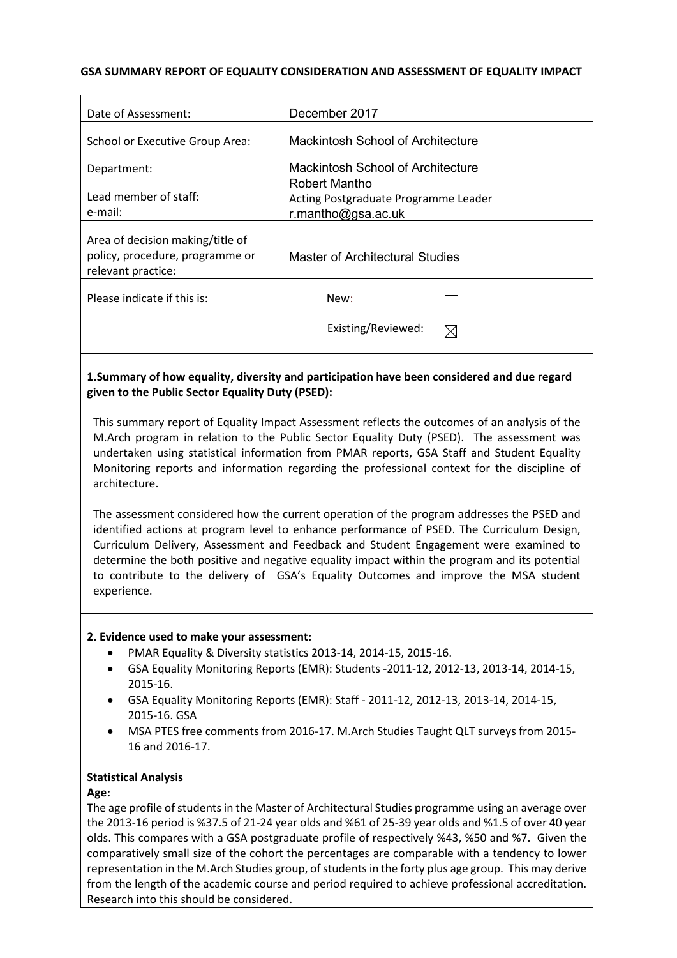### **GSA SUMMARY REPORT OF EQUALITY CONSIDERATION AND ASSESSMENT OF EQUALITY IMPACT**

| December 2017                                                               |             |
|-----------------------------------------------------------------------------|-------------|
| Mackintosh School of Architecture                                           |             |
| Mackintosh School of Architecture                                           |             |
| Robert Mantho<br>Acting Postgraduate Programme Leader<br>r.mantho@gsa.ac.uk |             |
| Master of Architectural Studies                                             |             |
| New:                                                                        |             |
| Existing/Reviewed:                                                          | $\boxtimes$ |
|                                                                             |             |

## **1.Summary of how equality, diversity and participation have been considered and due regard given to the Public Sector Equality Duty (PSED):**

This summary report of Equality Impact Assessment reflects the outcomes of an analysis of the M.Arch program in relation to the Public Sector Equality Duty (PSED). The assessment was undertaken using statistical information from PMAR reports, GSA Staff and Student Equality Monitoring reports and information regarding the professional context for the discipline of architecture.

The assessment considered how the current operation of the program addresses the PSED and identified actions at program level to enhance performance of PSED. The Curriculum Design, Curriculum Delivery, Assessment and Feedback and Student Engagement were examined to determine the both positive and negative equality impact within the program and its potential to contribute to the delivery of GSA's Equality Outcomes and improve the MSA student experience.

### **2. Evidence used to make your assessment:**

- PMAR Equality & Diversity statistics 2013-14, 2014-15, 2015-16.
- GSA Equality Monitoring Reports (EMR): Students -2011-12, 2012-13, 2013-14, 2014-15, 2015-16.
- GSA Equality Monitoring Reports (EMR): Staff 2011-12, 2012-13, 2013-14, 2014-15, 2015-16. GSA
- MSA PTES free comments from 2016-17. M.Arch Studies Taught QLT surveys from 2015- 16 and 2016-17.

### **Statistical Analysis**

### **Age:**

The age profile of students in the Master of Architectural Studies programme using an average over the 2013-16 period is %37.5 of 21-24 year olds and %61 of 25-39 year olds and %1.5 of over 40 year olds. This compares with a GSA postgraduate profile of respectively %43, %50 and %7. Given the comparatively small size of the cohort the percentages are comparable with a tendency to lower representation in the M.Arch Studies group, of students in the forty plus age group. This may derive from the length of the academic course and period required to achieve professional accreditation. Research into this should be considered.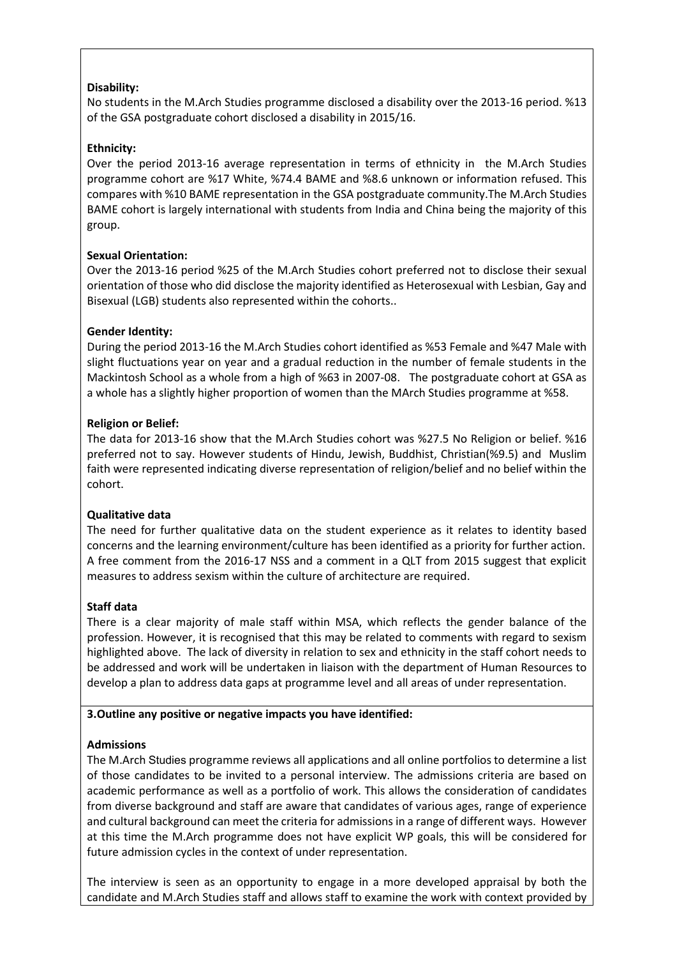## **Disability:**

No students in the M.Arch Studies programme disclosed a disability over the 2013-16 period. %13 of the GSA postgraduate cohort disclosed a disability in 2015/16.

## **Ethnicity:**

Over the period 2013-16 average representation in terms of ethnicity in the M.Arch Studies programme cohort are %17 White, %74.4 BAME and %8.6 unknown or information refused. This compares with %10 BAME representation in the GSA postgraduate community.The M.Arch Studies BAME cohort is largely international with students from India and China being the majority of this group.

## **Sexual Orientation:**

Over the 2013-16 period %25 of the M.Arch Studies cohort preferred not to disclose their sexual orientation of those who did disclose the majority identified as Heterosexual with Lesbian, Gay and Bisexual (LGB) students also represented within the cohorts..

## **Gender Identity:**

During the period 2013-16 the M.Arch Studies cohort identified as %53 Female and %47 Male with slight fluctuations year on year and a gradual reduction in the number of female students in the Mackintosh School as a whole from a high of %63 in 2007-08. The postgraduate cohort at GSA as a whole has a slightly higher proportion of women than the MArch Studies programme at %58.

## **Religion or Belief:**

The data for 2013-16 show that the M.Arch Studies cohort was %27.5 No Religion or belief. %16 preferred not to say. However students of Hindu, Jewish, Buddhist, Christian(%9.5) and Muslim faith were represented indicating diverse representation of religion/belief and no belief within the cohort.

### **Qualitative data**

The need for further qualitative data on the student experience as it relates to identity based concerns and the learning environment/culture has been identified as a priority for further action. A free comment from the 2016-17 NSS and a comment in a QLT from 2015 suggest that explicit measures to address sexism within the culture of architecture are required.

### **Staff data**

There is a clear majority of male staff within MSA, which reflects the gender balance of the profession. However, it is recognised that this may be related to comments with regard to sexism highlighted above. The lack of diversity in relation to sex and ethnicity in the staff cohort needs to be addressed and work will be undertaken in liaison with the department of Human Resources to develop a plan to address data gaps at programme level and all areas of under representation.

### **3.Outline any positive or negative impacts you have identified:**

### **Admissions**

The M.Arch Studies programme reviews all applications and all online portfolios to determine a list of those candidates to be invited to a personal interview. The admissions criteria are based on academic performance as well as a portfolio of work. This allows the consideration of candidates from diverse background and staff are aware that candidates of various ages, range of experience and cultural background can meet the criteria for admissions in a range of different ways. However at this time the M.Arch programme does not have explicit WP goals, this will be considered for future admission cycles in the context of under representation.

The interview is seen as an opportunity to engage in a more developed appraisal by both the candidate and M.Arch Studies staff and allows staff to examine the work with context provided by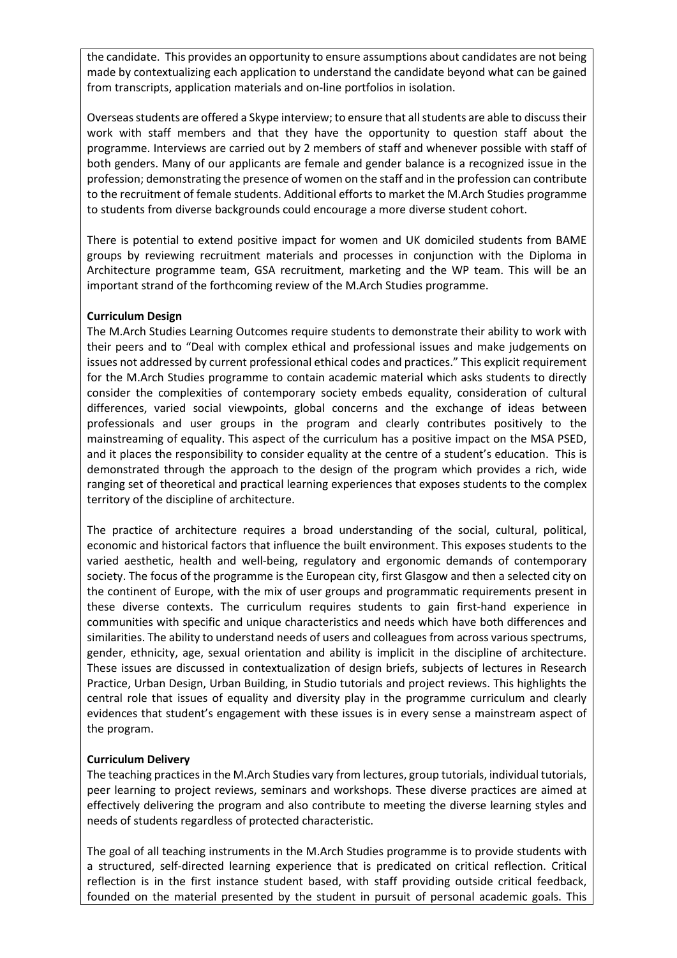the candidate. This provides an opportunity to ensure assumptions about candidates are not being made by contextualizing each application to understand the candidate beyond what can be gained from transcripts, application materials and on-line portfolios in isolation.

Overseas students are offered a Skype interview; to ensure that all students are able to discuss their work with staff members and that they have the opportunity to question staff about the programme. Interviews are carried out by 2 members of staff and whenever possible with staff of both genders. Many of our applicants are female and gender balance is a recognized issue in the profession; demonstrating the presence of women on the staff and in the profession can contribute to the recruitment of female students. Additional efforts to market the M.Arch Studies programme to students from diverse backgrounds could encourage a more diverse student cohort.

There is potential to extend positive impact for women and UK domiciled students from BAME groups by reviewing recruitment materials and processes in conjunction with the Diploma in Architecture programme team, GSA recruitment, marketing and the WP team. This will be an important strand of the forthcoming review of the M.Arch Studies programme.

## **Curriculum Design**

The M.Arch Studies Learning Outcomes require students to demonstrate their ability to work with their peers and to "Deal with complex ethical and professional issues and make judgements on issues not addressed by current professional ethical codes and practices." This explicit requirement for the M.Arch Studies programme to contain academic material which asks students to directly consider the complexities of contemporary society embeds equality, consideration of cultural differences, varied social viewpoints, global concerns and the exchange of ideas between professionals and user groups in the program and clearly contributes positively to the mainstreaming of equality. This aspect of the curriculum has a positive impact on the MSA PSED, and it places the responsibility to consider equality at the centre of a student's education. This is demonstrated through the approach to the design of the program which provides a rich, wide ranging set of theoretical and practical learning experiences that exposes students to the complex territory of the discipline of architecture.

The practice of architecture requires a broad understanding of the social, cultural, political, economic and historical factors that influence the built environment. This exposes students to the varied aesthetic, health and well-being, regulatory and ergonomic demands of contemporary society. The focus of the programme is the European city, first Glasgow and then a selected city on the continent of Europe, with the mix of user groups and programmatic requirements present in these diverse contexts. The curriculum requires students to gain first-hand experience in communities with specific and unique characteristics and needs which have both differences and similarities. The ability to understand needs of users and colleagues from across various spectrums, gender, ethnicity, age, sexual orientation and ability is implicit in the discipline of architecture. These issues are discussed in contextualization of design briefs, subjects of lectures in Research Practice, Urban Design, Urban Building, in Studio tutorials and project reviews. This highlights the central role that issues of equality and diversity play in the programme curriculum and clearly evidences that student's engagement with these issues is in every sense a mainstream aspect of the program.

### **Curriculum Delivery**

The teaching practices in the M.Arch Studies vary from lectures, group tutorials, individual tutorials, peer learning to project reviews, seminars and workshops. These diverse practices are aimed at effectively delivering the program and also contribute to meeting the diverse learning styles and needs of students regardless of protected characteristic.

The goal of all teaching instruments in the M.Arch Studies programme is to provide students with a structured, self-directed learning experience that is predicated on critical reflection. Critical reflection is in the first instance student based, with staff providing outside critical feedback, founded on the material presented by the student in pursuit of personal academic goals. This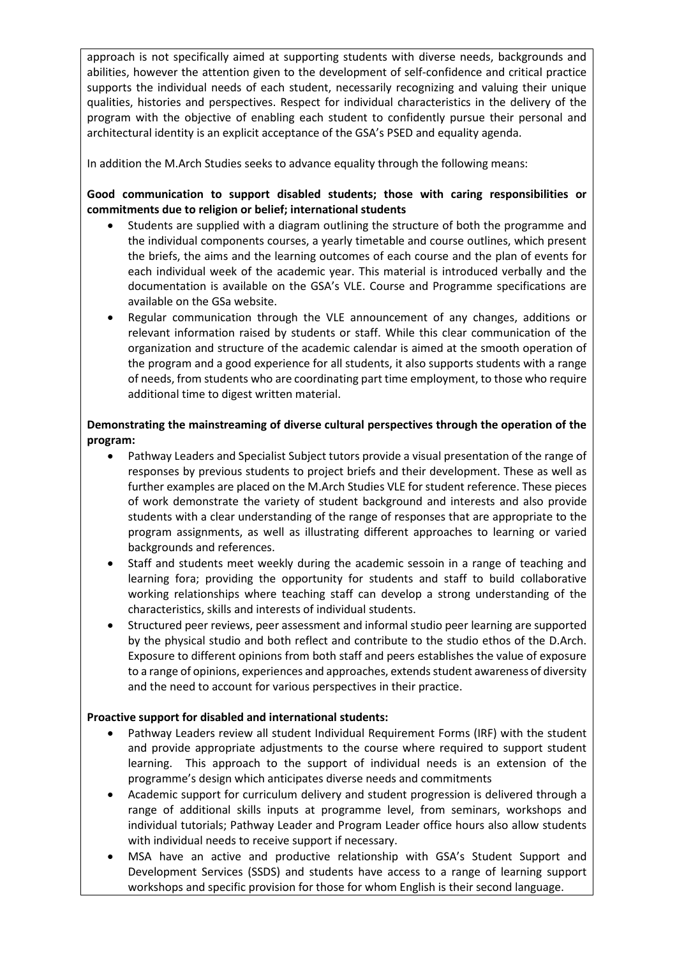approach is not specifically aimed at supporting students with diverse needs, backgrounds and abilities, however the attention given to the development of self-confidence and critical practice supports the individual needs of each student, necessarily recognizing and valuing their unique qualities, histories and perspectives. Respect for individual characteristics in the delivery of the program with the objective of enabling each student to confidently pursue their personal and architectural identity is an explicit acceptance of the GSA's PSED and equality agenda.

In addition the M.Arch Studies seeks to advance equality through the following means:

## **Good communication to support disabled students; those with caring responsibilities or commitments due to religion or belief; international students**

- Students are supplied with a diagram outlining the structure of both the programme and the individual components courses, a yearly timetable and course outlines, which present the briefs, the aims and the learning outcomes of each course and the plan of events for each individual week of the academic year. This material is introduced verbally and the documentation is available on the GSA's VLE. Course and Programme specifications are available on the GSa website.
- Regular communication through the VLE announcement of any changes, additions or relevant information raised by students or staff. While this clear communication of the organization and structure of the academic calendar is aimed at the smooth operation of the program and a good experience for all students, it also supports students with a range of needs, from students who are coordinating part time employment, to those who require additional time to digest written material.

## **Demonstrating the mainstreaming of diverse cultural perspectives through the operation of the program:**

- Pathway Leaders and Specialist Subject tutors provide a visual presentation of the range of responses by previous students to project briefs and their development. These as well as further examples are placed on the M.Arch Studies VLE for student reference. These pieces of work demonstrate the variety of student background and interests and also provide students with a clear understanding of the range of responses that are appropriate to the program assignments, as well as illustrating different approaches to learning or varied backgrounds and references.
- Staff and students meet weekly during the academic sessoin in a range of teaching and learning fora; providing the opportunity for students and staff to build collaborative working relationships where teaching staff can develop a strong understanding of the characteristics, skills and interests of individual students.
- Structured peer reviews, peer assessment and informal studio peer learning are supported by the physical studio and both reflect and contribute to the studio ethos of the D.Arch. Exposure to different opinions from both staff and peers establishes the value of exposure to a range of opinions, experiences and approaches, extends student awareness of diversity and the need to account for various perspectives in their practice.

## **Proactive support for disabled and international students:**

- Pathway Leaders review all student Individual Requirement Forms (IRF) with the student and provide appropriate adjustments to the course where required to support student learning. This approach to the support of individual needs is an extension of the programme's design which anticipates diverse needs and commitments
- Academic support for curriculum delivery and student progression is delivered through a range of additional skills inputs at programme level, from seminars, workshops and individual tutorials; Pathway Leader and Program Leader office hours also allow students with individual needs to receive support if necessary.
- MSA have an active and productive relationship with GSA's Student Support and Development Services (SSDS) and students have access to a range of learning support workshops and specific provision for those for whom English is their second language.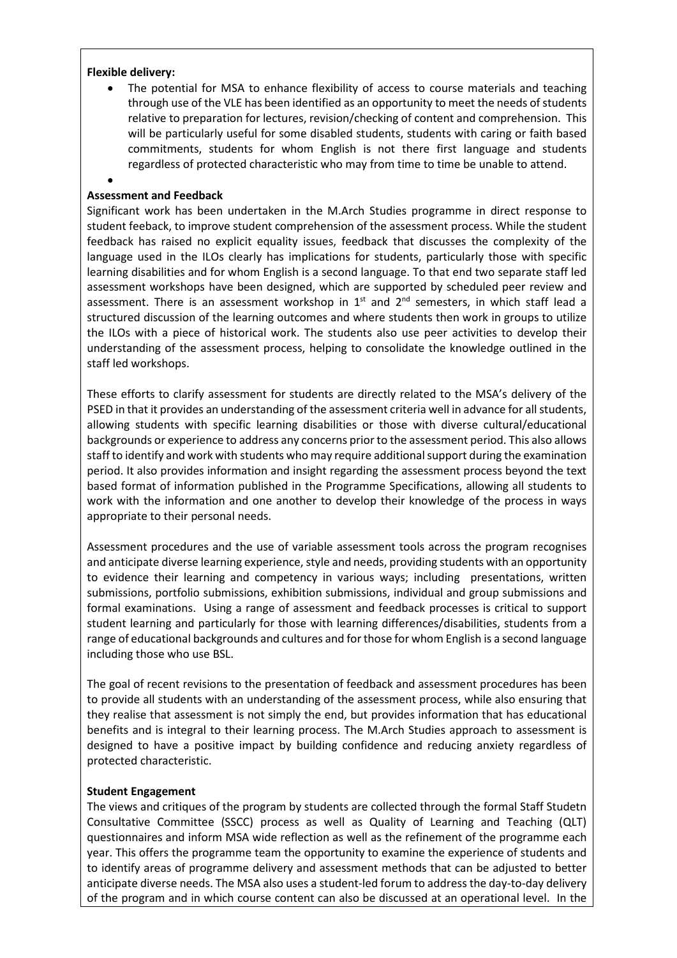### **Flexible delivery:**

•

The potential for MSA to enhance flexibility of access to course materials and teaching through use of the VLE has been identified as an opportunity to meet the needs of students relative to preparation for lectures, revision/checking of content and comprehension. This will be particularly useful for some disabled students, students with caring or faith based commitments, students for whom English is not there first language and students regardless of protected characteristic who may from time to time be unable to attend.

### **Assessment and Feedback**

Significant work has been undertaken in the M.Arch Studies programme in direct response to student feeback, to improve student comprehension of the assessment process. While the student feedback has raised no explicit equality issues, feedback that discusses the complexity of the language used in the ILOs clearly has implications for students, particularly those with specific learning disabilities and for whom English is a second language. To that end two separate staff led assessment workshops have been designed, which are supported by scheduled peer review and assessment. There is an assessment workshop in  $1<sup>st</sup>$  and  $2<sup>nd</sup>$  semesters, in which staff lead a structured discussion of the learning outcomes and where students then work in groups to utilize the ILOs with a piece of historical work. The students also use peer activities to develop their understanding of the assessment process, helping to consolidate the knowledge outlined in the staff led workshops.

These efforts to clarify assessment for students are directly related to the MSA's delivery of the PSED in that it provides an understanding of the assessment criteria well in advance for all students, allowing students with specific learning disabilities or those with diverse cultural/educational backgrounds or experience to address any concerns prior to the assessment period. This also allows staff to identify and work with students who may require additional support during the examination period. It also provides information and insight regarding the assessment process beyond the text based format of information published in the Programme Specifications, allowing all students to work with the information and one another to develop their knowledge of the process in ways appropriate to their personal needs.

Assessment procedures and the use of variable assessment tools across the program recognises and anticipate diverse learning experience, style and needs, providing students with an opportunity to evidence their learning and competency in various ways; including presentations, written submissions, portfolio submissions, exhibition submissions, individual and group submissions and formal examinations. Using a range of assessment and feedback processes is critical to support student learning and particularly for those with learning differences/disabilities, students from a range of educational backgrounds and cultures and for those for whom English is a second language including those who use BSL.

The goal of recent revisions to the presentation of feedback and assessment procedures has been to provide all students with an understanding of the assessment process, while also ensuring that they realise that assessment is not simply the end, but provides information that has educational benefits and is integral to their learning process. The M.Arch Studies approach to assessment is designed to have a positive impact by building confidence and reducing anxiety regardless of protected characteristic.

#### **Student Engagement**

The views and critiques of the program by students are collected through the formal Staff Studetn Consultative Committee (SSCC) process as well as Quality of Learning and Teaching (QLT) questionnaires and inform MSA wide reflection as well as the refinement of the programme each year. This offers the programme team the opportunity to examine the experience of students and to identify areas of programme delivery and assessment methods that can be adjusted to better anticipate diverse needs. The MSA also uses a student-led forum to address the day-to-day delivery of the program and in which course content can also be discussed at an operational level. In the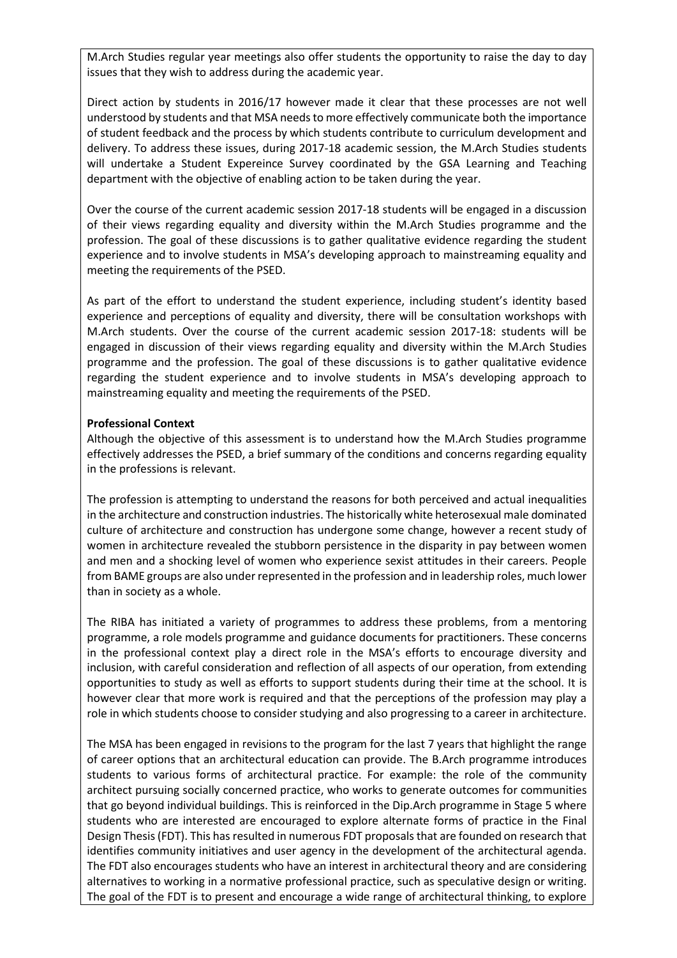M.Arch Studies regular year meetings also offer students the opportunity to raise the day to day issues that they wish to address during the academic year.

Direct action by students in 2016/17 however made it clear that these processes are not well understood by students and that MSA needs to more effectively communicate both the importance of student feedback and the process by which students contribute to curriculum development and delivery. To address these issues, during 2017-18 academic session, the M.Arch Studies students will undertake a Student Expereince Survey coordinated by the GSA Learning and Teaching department with the objective of enabling action to be taken during the year.

Over the course of the current academic session 2017-18 students will be engaged in a discussion of their views regarding equality and diversity within the M.Arch Studies programme and the profession. The goal of these discussions is to gather qualitative evidence regarding the student experience and to involve students in MSA's developing approach to mainstreaming equality and meeting the requirements of the PSED.

As part of the effort to understand the student experience, including student's identity based experience and perceptions of equality and diversity, there will be consultation workshops with M.Arch students. Over the course of the current academic session 2017-18: students will be engaged in discussion of their views regarding equality and diversity within the M.Arch Studies programme and the profession. The goal of these discussions is to gather qualitative evidence regarding the student experience and to involve students in MSA's developing approach to mainstreaming equality and meeting the requirements of the PSED.

#### **Professional Context**

Although the objective of this assessment is to understand how the M.Arch Studies programme effectively addresses the PSED, a brief summary of the conditions and concerns regarding equality in the professions is relevant.

The profession is attempting to understand the reasons for both perceived and actual inequalities in the architecture and construction industries. The historically white heterosexual male dominated culture of architecture and construction has undergone some change, however a recent study of women in architecture revealed the stubborn persistence in the disparity in pay between women and men and a shocking level of women who experience sexist attitudes in their careers. People from BAME groups are also under represented in the profession and in leadership roles, much lower than in society as a whole.

The RIBA has initiated a variety of programmes to address these problems, from a mentoring programme, a role models programme and guidance documents for practitioners. These concerns in the professional context play a direct role in the MSA's efforts to encourage diversity and inclusion, with careful consideration and reflection of all aspects of our operation, from extending opportunities to study as well as efforts to support students during their time at the school. It is however clear that more work is required and that the perceptions of the profession may play a role in which students choose to consider studying and also progressing to a career in architecture.

The MSA has been engaged in revisions to the program for the last 7 years that highlight the range of career options that an architectural education can provide. The B.Arch programme introduces students to various forms of architectural practice. For example: the role of the community architect pursuing socially concerned practice, who works to generate outcomes for communities that go beyond individual buildings. This is reinforced in the Dip.Arch programme in Stage 5 where students who are interested are encouraged to explore alternate forms of practice in the Final Design Thesis(FDT). This has resulted in numerous FDT proposals that are founded on research that identifies community initiatives and user agency in the development of the architectural agenda. The FDT also encourages students who have an interest in architectural theory and are considering alternatives to working in a normative professional practice, such as speculative design or writing. The goal of the FDT is to present and encourage a wide range of architectural thinking, to explore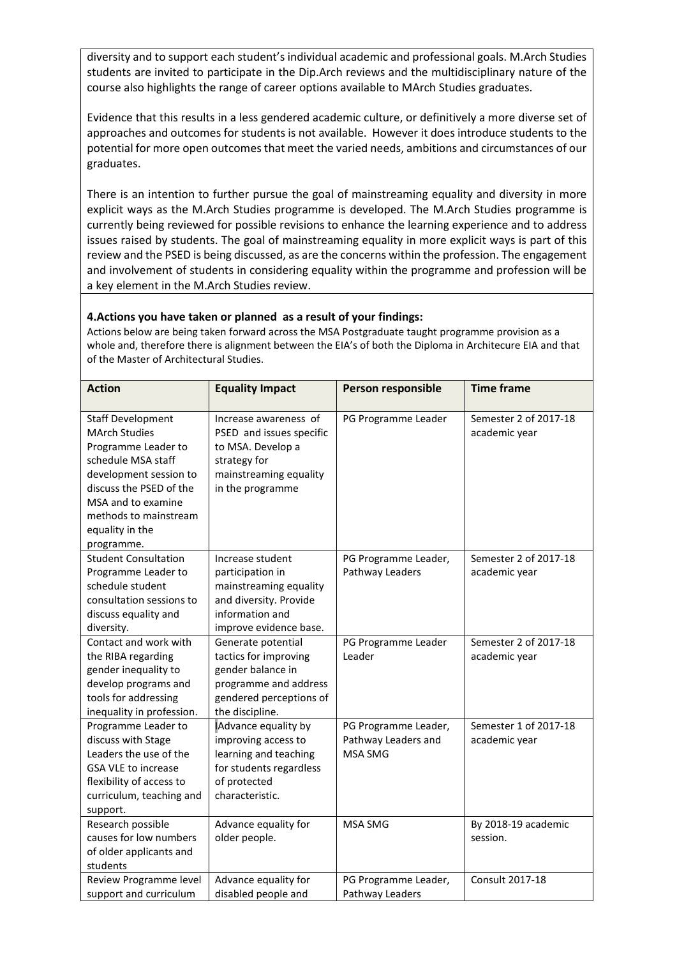diversity and to support each student's individual academic and professional goals. M.Arch Studies students are invited to participate in the Dip.Arch reviews and the multidisciplinary nature of the course also highlights the range of career options available to MArch Studies graduates.

Evidence that this results in a less gendered academic culture, or definitively a more diverse set of approaches and outcomes for students is not available. However it does introduce students to the potential for more open outcomes that meet the varied needs, ambitions and circumstances of our graduates.

There is an intention to further pursue the goal of mainstreaming equality and diversity in more explicit ways as the M.Arch Studies programme is developed. The M.Arch Studies programme is currently being reviewed for possible revisions to enhance the learning experience and to address issues raised by students. The goal of mainstreaming equality in more explicit ways is part of this review and the PSED is being discussed, as are the concerns within the profession. The engagement and involvement of students in considering equality within the programme and profession will be a key element in the M.Arch Studies review.

## **4.Actions you have taken or planned as a result of your findings:**

Actions below are being taken forward across the MSA Postgraduate taught programme provision as a whole and, therefore there is alignment between the EIA's of both the Diploma in Architecure EIA and that of the Master of Architectural Studies.

| <b>Action</b>                                                                                                                                                                                                                      | <b>Equality Impact</b>                                                                                                                  | Person responsible                                     | <b>Time frame</b>                      |
|------------------------------------------------------------------------------------------------------------------------------------------------------------------------------------------------------------------------------------|-----------------------------------------------------------------------------------------------------------------------------------------|--------------------------------------------------------|----------------------------------------|
| <b>Staff Development</b><br><b>MArch Studies</b><br>Programme Leader to<br>schedule MSA staff<br>development session to<br>discuss the PSED of the<br>MSA and to examine<br>methods to mainstream<br>equality in the<br>programme. | Increase awareness of<br>PSED and issues specific<br>to MSA. Develop a<br>strategy for<br>mainstreaming equality<br>in the programme    | PG Programme Leader                                    | Semester 2 of 2017-18<br>academic year |
| <b>Student Consultation</b><br>Programme Leader to<br>schedule student<br>consultation sessions to<br>discuss equality and<br>diversity.                                                                                           | Increase student<br>participation in<br>mainstreaming equality<br>and diversity. Provide<br>information and<br>improve evidence base.   | PG Programme Leader,<br>Pathway Leaders                | Semester 2 of 2017-18<br>academic year |
| Contact and work with<br>the RIBA regarding<br>gender inequality to<br>develop programs and<br>tools for addressing<br>inequality in profession.                                                                                   | Generate potential<br>tactics for improving<br>gender balance in<br>programme and address<br>gendered perceptions of<br>the discipline. | PG Programme Leader<br>Leader                          | Semester 2 of 2017-18<br>academic year |
| Programme Leader to<br>discuss with Stage<br>Leaders the use of the<br><b>GSA VLE to increase</b><br>flexibility of access to<br>curriculum, teaching and<br>support.                                                              | Advance equality by<br>improving access to<br>learning and teaching<br>for students regardless<br>of protected<br>characteristic.       | PG Programme Leader,<br>Pathway Leaders and<br>MSA SMG | Semester 1 of 2017-18<br>academic year |
| Research possible<br>causes for low numbers<br>of older applicants and<br>students                                                                                                                                                 | Advance equality for<br>older people.                                                                                                   | MSA SMG                                                | By 2018-19 academic<br>session.        |
| Review Programme level<br>support and curriculum                                                                                                                                                                                   | Advance equality for<br>disabled people and                                                                                             | PG Programme Leader,<br>Pathway Leaders                | Consult 2017-18                        |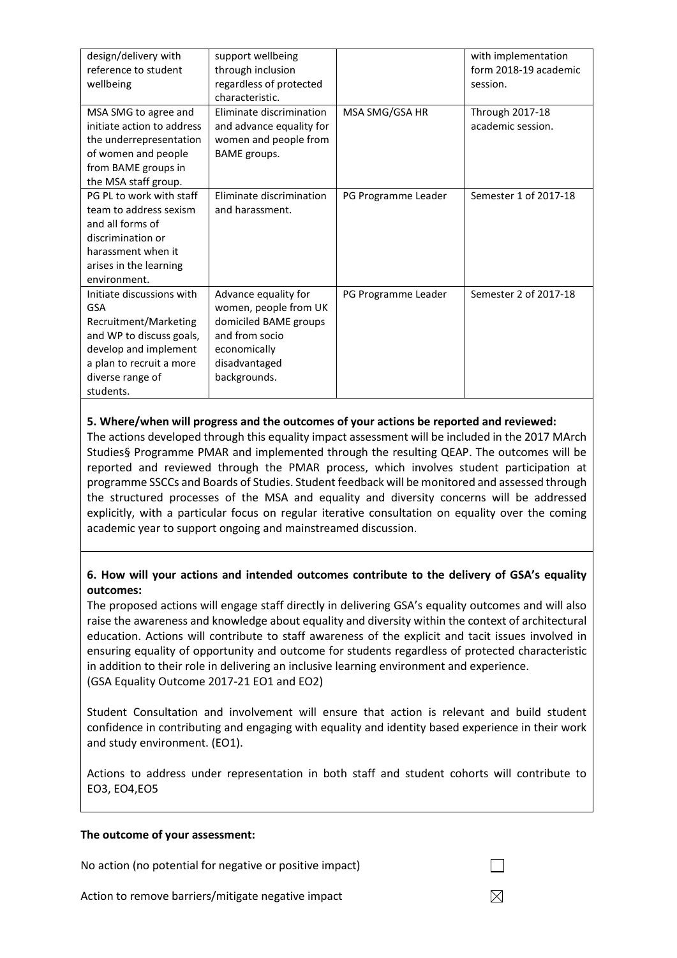| design/delivery with       | support wellbeing        |                     | with implementation    |
|----------------------------|--------------------------|---------------------|------------------------|
| reference to student       | through inclusion        |                     | form 2018-19 academic  |
| wellbeing                  | regardless of protected  |                     | session.               |
|                            | characteristic.          |                     |                        |
| MSA SMG to agree and       | Eliminate discrimination | MSA SMG/GSA HR      | <b>Through 2017-18</b> |
| initiate action to address | and advance equality for |                     | academic session.      |
| the underrepresentation    | women and people from    |                     |                        |
| of women and people        | BAME groups.             |                     |                        |
| from BAME groups in        |                          |                     |                        |
| the MSA staff group.       |                          |                     |                        |
| PG PL to work with staff   | Eliminate discrimination | PG Programme Leader | Semester 1 of 2017-18  |
| team to address sexism     | and harassment.          |                     |                        |
| and all forms of           |                          |                     |                        |
| discrimination or          |                          |                     |                        |
| harassment when it         |                          |                     |                        |
| arises in the learning     |                          |                     |                        |
| environment.               |                          |                     |                        |
| Initiate discussions with  | Advance equality for     | PG Programme Leader | Semester 2 of 2017-18  |
| <b>GSA</b>                 | women, people from UK    |                     |                        |
| Recruitment/Marketing      | domiciled BAME groups    |                     |                        |
| and WP to discuss goals,   | and from socio           |                     |                        |
| develop and implement      | economically             |                     |                        |
| a plan to recruit a more   | disadvantaged            |                     |                        |
| diverse range of           | backgrounds.             |                     |                        |
| students.                  |                          |                     |                        |

## **5. Where/when will progress and the outcomes of your actions be reported and reviewed:**

The actions developed through this equality impact assessment will be included in the 2017 MArch Studies§ Programme PMAR and implemented through the resulting QEAP. The outcomes will be reported and reviewed through the PMAR process, which involves student participation at programme SSCCs and Boards of Studies. Student feedback will be monitored and assessed through the structured processes of the MSA and equality and diversity concerns will be addressed explicitly, with a particular focus on regular iterative consultation on equality over the coming academic year to support ongoing and mainstreamed discussion.

## **6. How will your actions and intended outcomes contribute to the delivery of GSA's equality outcomes:**

The proposed actions will engage staff directly in delivering GSA's equality outcomes and will also raise the awareness and knowledge about equality and diversity within the context of architectural education. Actions will contribute to staff awareness of the explicit and tacit issues involved in ensuring equality of opportunity and outcome for students regardless of protected characteristic in addition to their role in delivering an inclusive learning environment and experience. (GSA Equality Outcome 2017-21 EO1 and EO2)

Student Consultation and involvement will ensure that action is relevant and build student confidence in contributing and engaging with equality and identity based experience in their work and study environment. (EO1).

Actions to address under representation in both staff and student cohorts will contribute to EO3, EO4,EO5

### **The outcome of your assessment:**

No action (no potential for negative or positive impact)

Action to remove barriers/mitigate negative impact